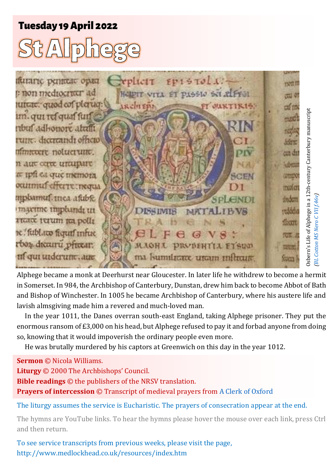# **Tuesday 19 April 2022**

# $\widetilde{\bullet}$  $\overline{D}$



Alphege became a monk at Deerhurst near Gloucester. In later life he withdrew to become a hermit in Somerset. In 984, the Archbishop of Canterbury, Dunstan, drew him back to become Abbot of Bath and Bishop of Winchester. In 1005 he became Archbishop of Canterbury, where his austere life and lavish almsgiving made him a revered and much-loved man.

In the year 1011, the Danes overran south-east England, taking Alphege prisoner. They put the enormous ransom of £3,000 on his head, but Alphege refused to pay it and forbad anyone from doing so, knowing that it would impoverish the ordinary people even more.

He was brutally murdered by his captors at Greenwich on this day in the year 1012.

# **Sermon** © Nicola Williams.

**Liturgy** © 2000 The Archbishops' Council. **Bible readings** © the publishers of the NRSV translation. **Prayers of intercession** © Transcript of medieval prayers from [A Clerk of Oxford](https://aclerkofoxford.blogspot.com/2014/11/an-anglo-saxon-prayer-to-st-alphege.html)

The liturgy assumes the service is Eucharistic. The prayers of consecration appear at the end.

The hymns are YouTube links. To hear the hymns please hover the mouse over each link, press Ctrl and then return.

To see service transcripts from previous weeks, please visit the page, <http://www.medlockhead.co.uk/resources/index.htm>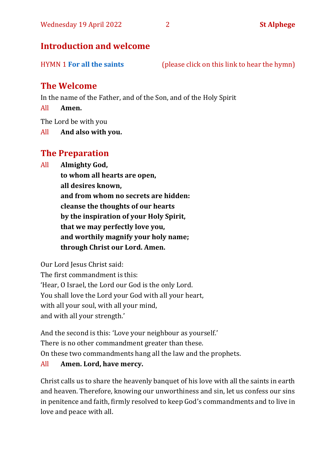# **Introduction and welcome**

| <b>HYMN 1 For all the saints</b> | (please click on this link to hear the hymn) |  |
|----------------------------------|----------------------------------------------|--|
|                                  |                                              |  |

# **The Welcome**

In the name of the Father, and of the Son, and of the Holy Spirit

All **Amen.**

The Lord be with you

All **And also with you.**

# **The Preparation**

All **Almighty God,**

**to whom all hearts are open, all desires known, and from whom no secrets are hidden: cleanse the thoughts of our hearts by the inspiration of your Holy Spirit, that we may perfectly love you, and worthily magnify your holy name; through Christ our Lord. Amen.**

Our Lord Jesus Christ said:

The first commandment is this: 'Hear, O Israel, the Lord our God is the only Lord. You shall love the Lord your God with all your heart, with all your soul, with all your mind, and with all your strength.'

And the second is this: 'Love your neighbour as yourself.' There is no other commandment greater than these. On these two commandments hang all the law and the prophets.

### All **Amen. Lord, have mercy.**

Christ calls us to share the heavenly banquet of his love with all the saints in earth and heaven. Therefore, knowing our unworthiness and sin, let us confess our sins in penitence and faith, firmly resolved to keep God's commandments and to live in love and peace with all.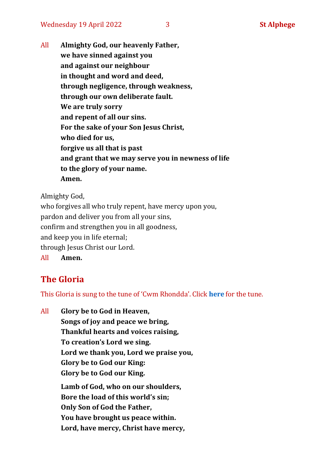All **Almighty God, our heavenly Father, we have sinned against you and against our neighbour in thought and word and deed, through negligence, through weakness, through our own deliberate fault. We are truly sorry and repent of all our sins. For the sake of your Son Jesus Christ, who died for us, forgive us all that is past and grant that we may serve you in newness of life to the glory of your name. Amen.**

Almighty God,

who forgives all who truly repent, have mercy upon you, pardon and deliver you from all your sins, confirm and strengthen you in all goodness, and keep you in life eternal; through Jesus Christ our Lord. All **Amen.**

# **The Gloria**

This Gloria is sung to the tune of 'Cwm Rhondda'. Click **[here](https://www.youtube.com/watch?v=l71MLQ22dIk)** for the tune.

All **Glory be to God in Heaven, Songs of joy and peace we bring, Thankful hearts and voices raising, To creation's Lord we sing. Lord we thank you, Lord we praise you, Glory be to God our King: Glory be to God our King. Lamb of God, who on our shoulders, Bore the load of this world's sin; Only Son of God the Father, You have brought us peace within. Lord, have mercy, Christ have mercy,**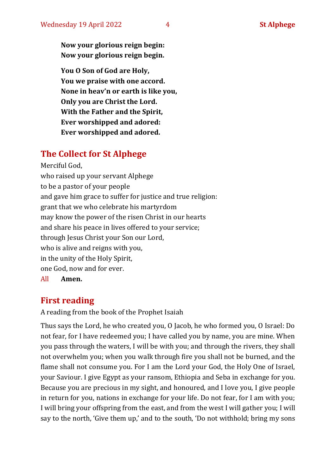**Now your glorious reign begin: Now your glorious reign begin.**

**You O Son of God are Holy, You we praise with one accord. None in heav'n or earth is like you, Only you are Christ the Lord. With the Father and the Spirit, Ever worshipped and adored: Ever worshipped and adored.**

## **The Collect for St Alphege**

Merciful God, who raised up your servant Alphege to be a pastor of your people and gave him grace to suffer for justice and true religion: grant that we who celebrate his martyrdom may know the power of the risen Christ in our hearts and share his peace in lives offered to your service; through Jesus Christ your Son our Lord, who is alive and reigns with you, in the unity of the Holy Spirit, one God, now and for ever.

All **Amen.**

## **First reading**

A reading from the book of the Prophet Isaiah

Thus says the Lord, he who created you, O Jacob, he who formed you, O Israel: Do not fear, for I have redeemed you; I have called you by name, you are mine. When you pass through the waters, I will be with you; and through the rivers, they shall not overwhelm you; when you walk through fire you shall not be burned, and the flame shall not consume you. For I am the Lord your God, the Holy One of Israel, your Saviour. I give Egypt as your ransom, Ethiopia and Seba in exchange for you. Because you are precious in my sight, and honoured, and I love you, I give people in return for you, nations in exchange for your life. Do not fear, for I am with you; I will bring your offspring from the east, and from the west I will gather you; I will say to the north, 'Give them up,' and to the south, 'Do not withhold; bring my sons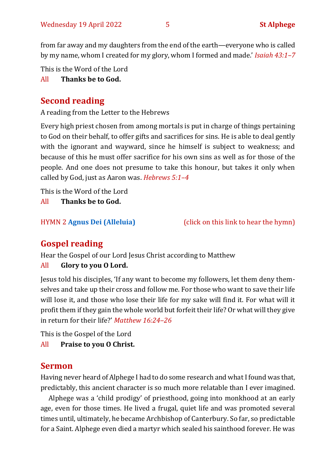from far away and my daughters from the end of the earth—everyone who is called by my name, whom I created for my glory, whom I formed and made.' *Isaiah 43:1–7*

This is the Word of the Lord

All **Thanks be to God.**

# **Second reading**

A reading from the Letter to the Hebrews

Every high priest chosen from among mortals is put in charge of things pertaining to God on their behalf, to offer gifts and sacrifices for sins. He is able to deal gently with the ignorant and wayward, since he himself is subject to weakness; and because of this he must offer sacrifice for his own sins as well as for those of the people. And one does not presume to take this honour, but takes it only when called by God, just as Aaron was. *Hebrews 5:1–4*

This is the Word of the Lord

All **Thanks be to God.**

HYMN 2 **[Agnus Dei \(Alleluia\)](https://www.youtube.com/watch?v=rBeEqA1VrNk)** (click on this link to hear the hymn)

# **Gospel reading**

Hear the Gospel of our Lord Jesus Christ according to Matthew

All **Glory to you O Lord.**

Jesus told his disciples, 'If any want to become my followers, let them deny themselves and take up their cross and follow me. For those who want to save their life will lose it, and those who lose their life for my sake will find it. For what will it profit them if they gain the whole world but forfeit their life? Or what will they give in return for their life?' *Matthew 16:24–26*

This is the Gospel of the Lord

All **Praise to you O Christ.** 

# **Sermon**

Having never heard of Alphege I had to do some research and what I found was that, predictably, this ancient character is so much more relatable than I ever imagined.

Alphege was a 'child prodigy' of priesthood, going into monkhood at an early age, even for those times. He lived a frugal, quiet life and was promoted several times until, ultimately, he became Archbishop of Canterbury. So far, so predictable for a Saint. Alphege even died a martyr which sealed his sainthood forever. He was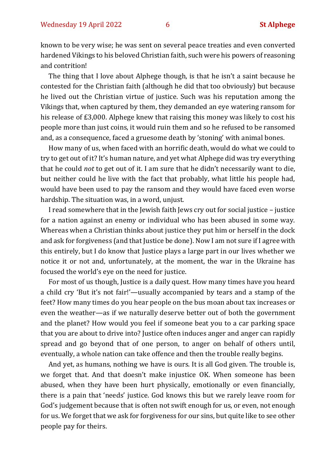known to be very wise; he was sent on several peace treaties and even converted hardened Vikings to his beloved Christian faith, such were his powers of reasoning and contrition!

The thing that I love about Alphege though, is that he isn't a saint because he contested for the Christian faith (although he did that too obviously) but because he lived out the Christian virtue of justice. Such was his reputation among the Vikings that, when captured by them, they demanded an eye watering ransom for his release of £3,000. Alphege knew that raising this money was likely to cost his people more than just coins, it would ruin them and so he refused to be ransomed and, as a consequence, faced a gruesome death by 'stoning' with animal bones.

How many of us, when faced with an horrific death, would do what we could to try to get out of it? It's human nature, and yet what Alphege did was try everything that he could *not* to get out of it. I am sure that he didn't necessarily want to die, but neither could he live with the fact that probably, what little his people had, would have been used to pay the ransom and they would have faced even worse hardship. The situation was, in a word, unjust.

I read somewhere that in the Jewish faith Jews cry out for social justice – justice for a nation against an enemy or individual who has been abused in some way. Whereas when a Christian thinks about justice they put him or herself in the dock and ask for forgiveness (and that Justice be done). Now I am not sure if I agree with this entirely, but I do know that Justice plays a large part in our lives whether we notice it or not and, unfortunately, at the moment, the war in the Ukraine has focused the world's eye on the need for justice.

For most of us though, Justice is a daily quest. How many times have you heard a child cry 'But it's not fair!'—usually accompanied by tears and a stamp of the feet? How many times do you hear people on the bus moan about tax increases or even the weather—as if we naturally deserve better out of both the government and the planet? How would you feel if someone beat you to a car parking space that you are about to drive into? Justice often induces anger and anger can rapidly spread and go beyond that of one person, to anger on behalf of others until, eventually, a whole nation can take offence and then the trouble really begins.

And yet, as humans, nothing we have is ours. It is all God given. The trouble is, we forget that. And that doesn't make injustice OK. When someone has been abused, when they have been hurt physically, emotionally or even financially, there is a pain that 'needs' justice. God knows this but we rarely leave room for God's judgement because that is often not swift enough for us, or even, not enough for us. We forget that we ask for forgiveness for our sins, but quite like to see other people pay for theirs.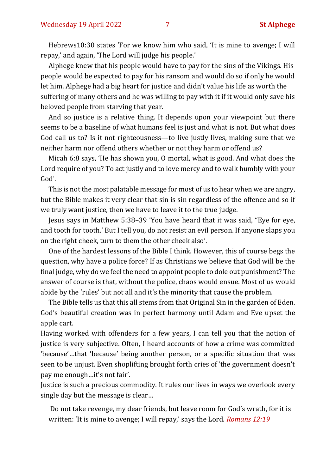Hebrews10:30 states 'For we know him who said, 'It is mine to avenge; I will repay,' and again, 'The Lord will judge his people.'

Alphege knew that his people would have to pay for the sins of the Vikings. His people would be expected to pay for his ransom and would do so if only he would let him. Alphege had a big heart for justice and didn't value his life as worth the suffering of many others and he was willing to pay with it if it would only save his beloved people from starving that year.

And so justice is a relative thing. It depends upon your viewpoint but there seems to be a baseline of what humans feel is just and what is not. But what does God call us to? Is it not righteousness—to live justly lives, making sure that we neither harm nor offend others whether or not they harm or offend us?

Micah 6:8 says, 'He has shown you, O mortal, what is good. And what does the Lord require of you? To act justly and to love mercy and to walk humbly with your God'.

This is not the most palatable message for most of us to hear when we are angry, but the Bible makes it very clear that sin is sin regardless of the offence and so if we truly want justice, then we have to leave it to the true judge.

Jesus says in Matthew 5:38–39 'You have heard that it was said, "Eye for eye, and tooth for tooth.' But I tell you, do not resist an evil person. If anyone slaps you on the right cheek, turn to them the other cheek also'.

One of the hardest lessons of the Bible I think. However, this of course begs the question, why have a police force? If as Christians we believe that God will be the final judge, why do we feel the need to appoint people to dole out punishment? The answer of course is that, without the police, chaos would ensue. Most of us would abide by the 'rules' but not all and it's the minority that cause the problem.

The Bible tells us that this all stems from that Original Sin in the garden of Eden. God's beautiful creation was in perfect harmony until Adam and Eve upset the apple cart.

Having worked with offenders for a few years, I can tell you that the notion of justice is very subjective. Often, I heard accounts of how a crime was committed 'because'…that 'because' being another person, or a specific situation that was seen to be unjust. Even shoplifting brought forth cries of 'the government doesn't pay me enough…it's not fair'.

Justice is such a precious commodity. It rules our lives in ways we overlook every single day but the message is clear…

Do not take revenge, my dear friends, but leave room for God's wrath, for it is written: 'It is mine to avenge; I will repay,' says the Lord. *Romans 12:19*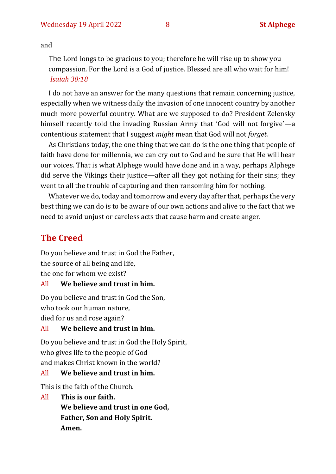### and

The Lord longs to be gracious to you; therefore he will rise up to show you compassion. For the Lord is a God of justice. Blessed are all who wait for him! *Isaiah 30:18*

I do not have an answer for the many questions that remain concerning justice, especially when we witness daily the invasion of one innocent country by another much more powerful country. What are we supposed to do? President Zelensky himself recently told the invading Russian Army that 'God will not forgive'—a contentious statement that I suggest *might* mean that God will not *forget.*

As Christians today, the one thing that we can do is the one thing that people of faith have done for millennia, we can cry out to God and be sure that He will hear our voices. That is what Alphege would have done and in a way, perhaps Alphege did serve the Vikings their justice—after all they got nothing for their sins; they went to all the trouble of capturing and then ransoming him for nothing.

Whatever we do, today and tomorrow and every day after that, perhaps the very best thing we can do is to be aware of our own actions and alive to the fact that we need to avoid unjust or careless acts that cause harm and create anger.

# **The Creed**

Do you believe and trust in God the Father, the source of all being and life, the one for whom we exist?

### All **We believe and trust in him.**

Do you believe and trust in God the Son,

who took our human nature,

died for us and rose again?

### All **We believe and trust in him.**

Do you believe and trust in God the Holy Spirit, who gives life to the people of God and makes Christ known in the world?

### All **We believe and trust in him.**

This is the faith of the Church.

All **This is our faith.**

**We believe and trust in one God, Father, Son and Holy Spirit. Amen.**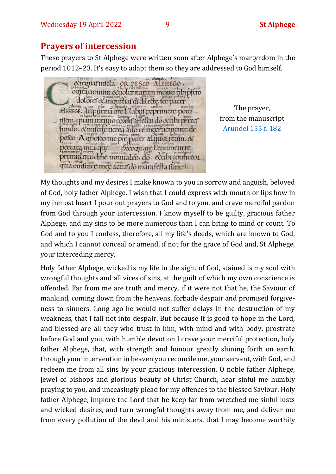### **Prayers of intercession**

These prayers to St Alphege were written soon after Alphege's martyrdom in the period 1012–23. It's easy to adapt them so they are addressed to God himself.

experiatinfela - OR DESCO oqtationum &uolumatum measu ubipfero dolorer exanguittar di dilette ree parer AliHEGE. Acq. ticina ore L'labuf exprimere pocu tifem.quam incimo coidifaffettu do eccibi precef fundo. & mitode uema ado re mecruentemente de pofco A gnofco me pie pater Alille freum. & peccara mea que excograpetenumentre premulatudine nontialeo. do. ecabiconfireoz quia omfutce mee accuido manifesta funci

The prayer, from the manuscript [Arundel 155 f. 182](http://www.bl.uk/manuscripts/FullDisplay.aspx?ref=Arundel_MS_155)

My thoughts and my desires I make known to you in sorrow and anguish, beloved of God, holy father Alphege. I wish that I could express with mouth or lips how in my inmost heart I pour out prayers to God and to you, and crave merciful pardon from God through your intercession. I know myself to be guilty, gracious father Alphege, and my sins to be more numerous than I can bring to mind or count. To God and to you I confess, therefore, all my life's deeds, which are known to God, and which I cannot conceal or amend, if not for the grace of God and, St Alphege, your interceding mercy.

Holy father Alphege, wicked is my life in the sight of God, stained is my soul with wrongful thoughts and all vices of sins, at the guilt of which my own conscience is offended. Far from me are truth and mercy, if it were not that he, the Saviour of mankind, coming down from the heavens, forbade despair and promised forgiveness to sinners. Long ago he would not suffer delays in the destruction of my weakness, that I fall not into despair. But because it is good to hope in the Lord, and blessed are all they who trust in him, with mind and with body, prostrate before God and you, with humble devotion I crave your merciful protection, holy father Alphege, that, with strength and honour greatly shining forth on earth, through your intervention in heaven you reconcile me, your servant, with God, and redeem me from all sins by your gracious intercession. O noble father Alphege, jewel of bishops and glorious beauty of Christ Church, hear sinful me humbly praying to you, and unceasingly plead for my offences to the blessed Saviour. Holy father Alphege, implore the Lord that he keep far from wretched me sinful lusts and wicked desires, and turn wrongful thoughts away from me, and deliver me from every pollution of the devil and his ministers, that I may become worthily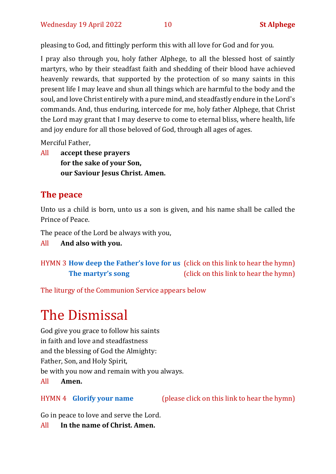pleasing to God, and fittingly perform this with all love for God and for you.

I pray also through you, holy father Alphege, to all the blessed host of saintly martyrs, who by their steadfast faith and shedding of their blood have achieved heavenly rewards, that supported by the protection of so many saints in this present life I may leave and shun all things which are harmful to the body and the soul, and love Christ entirely with a pure mind, and steadfastly endure in the Lord's commands. And, thus enduring, intercede for me, holy father Alphege, that Christ the Lord may grant that I may deserve to come to eternal bliss, where health, life and joy endure for all those beloved of God, through all ages of ages.

Merciful Father,

All **accept these prayers for the sake of your Son, our Saviour Jesus Christ. Amen.**

# **The peace**

Unto us a child is born, unto us a son is given, and his name shall be called the Prince of Peace.

The peace of the Lord be always with you,

All **And also with you.**

# HYMN 3 **[How deep the Father](https://www.youtube.com/watch?v=UfhRs5g5t8M)'s love for us** (click on this link to hear the hymn) **[The martyr](https://www.youtube.com/watch?v=noqbDeWoUcM)'s song** (click on this link to hear the hymn)

The liturgy of the Communion Service appears below

# The Dismissal

God give you grace to follow his saints in faith and love and steadfastness and the blessing of God the Almighty: Father, Son, and Holy Spirit, be with you now and remain with you always.

All **Amen.**

### HYMN 4 **[Glorify your name](https://www.youtube.com/watch?v=T5a-zglshnE)** (please click on this link to hear the hymn)

Go in peace to love and serve the Lord.

All **In the name of Christ. Amen.**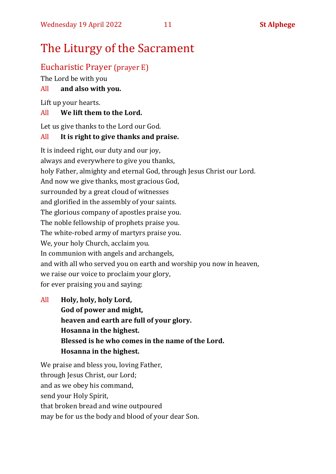# The Liturgy of the Sacrament

# Eucharistic Prayer (prayer E)

The Lord be with you

## All **and also with you.**

Lift up your hearts.

### All **We lift them to the Lord.**

Let us give thanks to the Lord our God.

### All **It is right to give thanks and praise.**

It is indeed right, our duty and our joy, always and everywhere to give you thanks, holy Father, almighty and eternal God, through Jesus Christ our Lord. And now we give thanks, most gracious God, surrounded by a great cloud of witnesses and glorified in the assembly of your saints. The glorious company of apostles praise you. The noble fellowship of prophets praise you. The white-robed army of martyrs praise you. We, your holy Church, acclaim you. In communion with angels and archangels, and with all who served you on earth and worship you now in heaven, we raise our voice to proclaim your glory, for ever praising you and saying:

All **Holy, holy, holy Lord, God of power and might, heaven and earth are full of your glory. Hosanna in the highest. Blessed is he who comes in the name of the Lord. Hosanna in the highest.**

We praise and bless you, loving Father, through Jesus Christ, our Lord; and as we obey his command, send your Holy Spirit, that broken bread and wine outpoured may be for us the body and blood of your dear Son.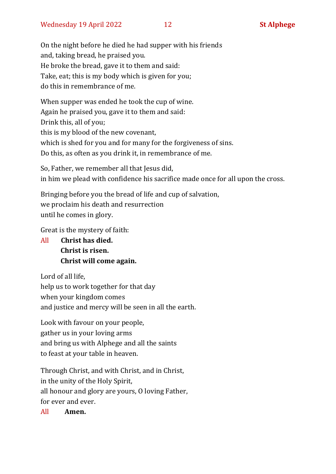On the night before he died he had supper with his friends and, taking bread, he praised you. He broke the bread, gave it to them and said: Take, eat; this is my body which is given for you; do this in remembrance of me.

When supper was ended he took the cup of wine. Again he praised you, gave it to them and said: Drink this, all of you; this is my blood of the new covenant, which is shed for you and for many for the forgiveness of sins. Do this, as often as you drink it, in remembrance of me.

So, Father, we remember all that Jesus did, in him we plead with confidence his sacrifice made once for all upon the cross.

Bringing before you the bread of life and cup of salvation, we proclaim his death and resurrection until he comes in glory.

Great is the mystery of faith:

All **Christ has died. Christ is risen. Christ will come again.**

Lord of all life, help us to work together for that day when your kingdom comes and justice and mercy will be seen in all the earth.

Look with favour on your people, gather us in your loving arms and bring us with Alphege and all the saints to feast at your table in heaven.

Through Christ, and with Christ, and in Christ, in the unity of the Holy Spirit, all honour and glory are yours, O loving Father, for ever and ever.

All **Amen.**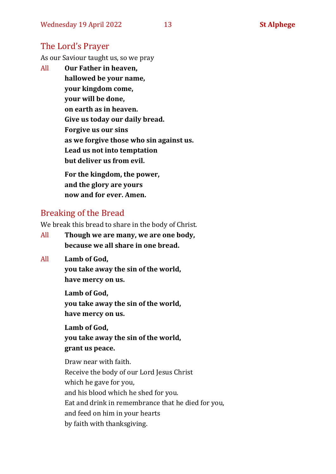## The Lord's Prayer

As our Saviour taught us, so we pray

All **Our Father in heaven, hallowed be your name, your kingdom come, your will be done, on earth as in heaven. Give us today our daily bread. Forgive us our sins as we forgive those who sin against us. Lead us not into temptation but deliver us from evil. For the kingdom, the power,** 

**and the glory are yours now and for ever. Amen.**

## Breaking of the Bread

We break this bread to share in the body of Christ.

- All **Though we are many, we are one body, because we all share in one bread.**
- All **Lamb of God,**

**you take away the sin of the world, have mercy on us.**

**Lamb of God, you take away the sin of the world, have mercy on us.**

**Lamb of God, you take away the sin of the world, grant us peace.**

Draw near with faith. Receive the body of our Lord Jesus Christ which he gave for you, and his blood which he shed for you. Eat and drink in remembrance that he died for you, and feed on him in your hearts by faith with thanksgiving.